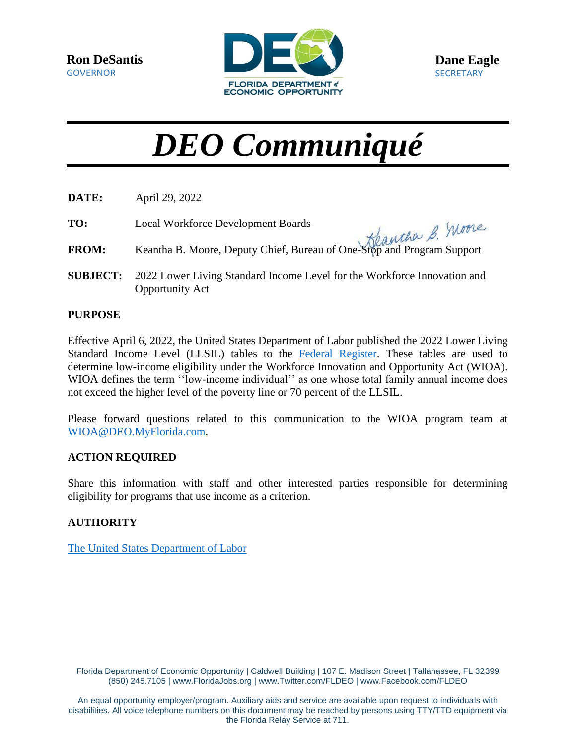

# *DEO Communiqué*

- **DATE:** April 29, 2022
- **TO:** Local Workforce Development Boards
- **FROM:** Keantha B. Moore, Deputy Chief, Bureau of One-Stop and Program Support
- **SUBJECT:** 2022 Lower Living Standard Income Level for the Workforce Innovation and Opportunity Act

#### **PURPOSE**

Effective April 6, 2022, the United States Department of Labor published the 2022 Lower Living Standard Income Level (LLSIL) tables to the [Federal Register.](https://www.dol.gov/sites/dolgov/files/ETA/llsil/pdfs/Federal_Register_Notice_2022.pdf) These tables are used to determine low-income eligibility under the Workforce Innovation and Opportunity Act (WIOA). WIOA defines the term "low-income individual" as one whose total family annual income does not exceed the higher level of the poverty line or 70 percent of the LLSIL.

Please forward questions related to this communication to the WIOA program team at [WIOA@DEO.MyFlorida.com.](mailto:WIOA@DEO.MyFlorida.com)

#### **ACTION REQUIRED**

Share this information with staff and other interested parties responsible for determining eligibility for programs that use income as a criterion.

### **AUTHORITY**

[The United States Department of Labor](https://www.doleta.gov/llsil/)

Florida Department of Economic Opportunity | Caldwell Building | 107 E. Madison Street | Tallahassee, FL 32399 (850) 245.7105 [| www.FloridaJobs.org](http://www.floridajobs.org/) | [www.Twitter.com/FLDEO](http://www.twitter.com/FLDEO) | [www.Facebook.com/FLDEO](http://www.facebook.com/FLDEO)

An equal opportunity employer/program. Auxiliary aids and service are available upon request to individuals with disabilities. All voice telephone numbers on this document may be reached by persons using TTY/TTD equipment via the Florida Relay Service at 711.